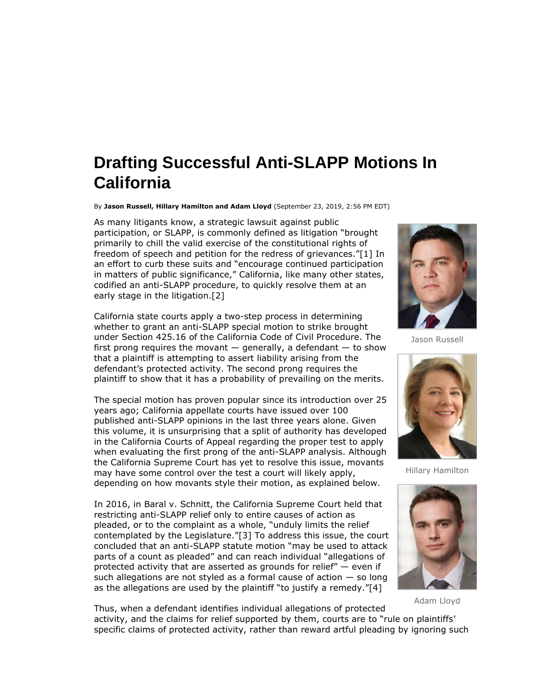## **Drafting Successful Anti-SLAPP Motions In California**

 By **Jason Russell, Hillary Hamilton and Adam Lloyd** (September 23, 2019, 2:56 PM EDT)

 As many litigants know, a strategic lawsuit against public participation, or SLAPP, is commonly defined as litigation "brought primarily to chill the valid exercise of the constitutional rights of freedom of speech and petition for the redress of grievances."[1] In an effort to curb these suits and "encourage continued participation in matters of public significance," California, like many other states, codified an anti-SLAPP procedure, to quickly resolve them at an early stage in the litigation.[2]

 California state courts apply a two-step process in determining whether to grant an anti-SLAPP special motion to strike brought under Section 425.16 of the California Code of Civil Procedure. The first prong requires the movant  $-$  generally, a defendant  $-$  to show that a plaintiff is attempting to assert liability arising from the defendant's protected activity. The second prong requires the plaintiff to show that it has a probability of prevailing on the merits.

 The special motion has proven popular since its introduction over 25 years ago; California appellate courts have issued over 100 published anti-SLAPP opinions in the last three years alone. Given this volume, it is unsurprising that a split of authority has developed in the California Courts of Appeal regarding the proper test to apply when evaluating the first prong of the anti-SLAPP analysis. Although the California Supreme Court has yet to resolve this issue, movants may have some control over the test a court will likely apply, depending on how movants style their motion, as explained below.

 In 2016, in Baral v. Schnitt, the California Supreme Court held that restricting anti-SLAPP relief only to entire causes of action as pleaded, or to the complaint as a whole, "unduly limits the relief contemplated by the Legislature."[3] To address this issue, the court concluded that an anti-SLAPP statute motion "may be used to attack parts of a count as pleaded" and can reach individual "allegations of protected activity that are asserted as grounds for relief" — even if such allegations are not styled as a formal cause of action — so long as the allegations are used by the plaintiff "to justify a remedy."[4]



Jason Russell



Hillary Hamilton



Adam Lloyd

 Thus, when a defendant identifies individual allegations of protected activity, and the claims for relief supported by them, courts are to "rule on plaintiffs' specific claims of protected activity, rather than reward artful pleading by ignoring such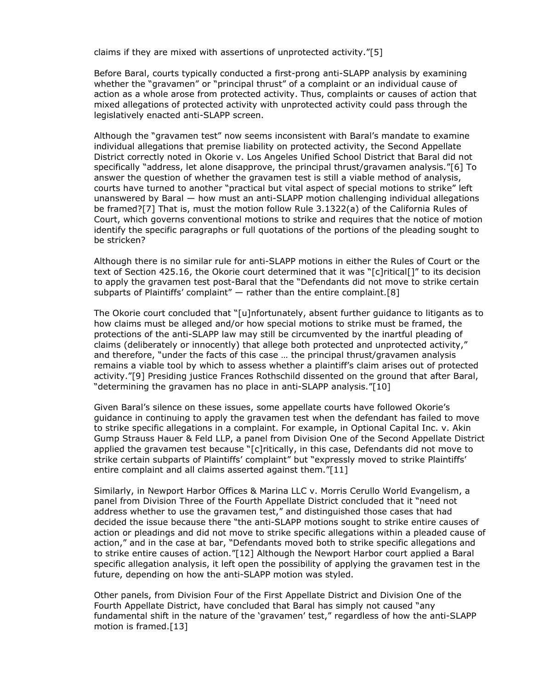claims if they are mixed with assertions of unprotected activity."[5]

 Before Baral, courts typically conducted a first-prong anti-SLAPP analysis by examining whether the "gravamen" or "principal thrust" of a complaint or an individual cause of action as a whole arose from protected activity. Thus, complaints or causes of action that mixed allegations of protected activity with unprotected activity could pass through the legislatively enacted anti-SLAPP screen.

 Although the "gravamen test" now seems inconsistent with Baral's mandate to examine individual allegations that premise liability on protected activity, the Second Appellate District correctly noted in Okorie v. Los Angeles Unified School District that Baral did not specifically "address, let alone disapprove, the principal thrust/gravamen analysis."[6] To answer the question of whether the gravamen test is still a viable method of analysis, courts have turned to another "practical but vital aspect of special motions to strike" left unanswered by Baral — how must an anti-SLAPP motion challenging individual allegations be framed?[7] That is, must the motion follow Rule 3.1322(a) of the California Rules of Court, which governs conventional motions to strike and requires that the notice of motion identify the specific paragraphs or full quotations of the portions of the pleading sought to be stricken?

 Although there is no similar rule for anti-SLAPP motions in either the Rules of Court or the text of Section 425.16, the Okorie court determined that it was "[c]ritical[]" to its decision to apply the gravamen test post-Baral that the "Defendants did not move to strike certain subparts of Plaintiffs' complaint" — rather than the entire complaint.[8]

 The Okorie court concluded that "[u]nfortunately, absent further guidance to litigants as to how claims must be alleged and/or how special motions to strike must be framed, the protections of the anti-SLAPP law may still be circumvented by the inartful pleading of claims (deliberately or innocently) that allege both protected and unprotected activity," and therefore, "under the facts of this case … the principal thrust/gravamen analysis remains a viable tool by which to assess whether a plaintiff's claim arises out of protected activity."[9] Presiding justice Frances Rothschild dissented on the ground that after Baral, "determining the gravamen has no place in anti-SLAPP analysis."[10]

 Given Baral's silence on these issues, some appellate courts have followed Okorie's guidance in continuing to apply the gravamen test when the defendant has failed to move to strike specific allegations in a complaint. For example, in Optional Capital Inc. v. Akin Gump Strauss Hauer & Feld LLP, a panel from Division One of the Second Appellate District applied the gravamen test because "[c]ritically, in this case, Defendants did not move to strike certain subparts of Plaintiffs' complaint" but "expressly moved to strike Plaintiffs' entire complaint and all claims asserted against them."[11]

 Similarly, in Newport Harbor Offices & Marina LLC v. Morris Cerullo World Evangelism, a panel from Division Three of the Fourth Appellate District concluded that it "need not address whether to use the gravamen test," and distinguished those cases that had decided the issue because there "the anti-SLAPP motions sought to strike entire causes of action or pleadings and did not move to strike specific allegations within a pleaded cause of action," and in the case at bar, "Defendants moved both to strike specific allegations and to strike entire causes of action."[12] Although the Newport Harbor court applied a Baral specific allegation analysis, it left open the possibility of applying the gravamen test in the future, depending on how the anti-SLAPP motion was styled.

 Other panels, from Division Four of the First Appellate District and Division One of the Fourth Appellate District, have concluded that Baral has simply not caused "any fundamental shift in the nature of the 'gravamen' test," regardless of how the anti-SLAPP motion is framed.[13]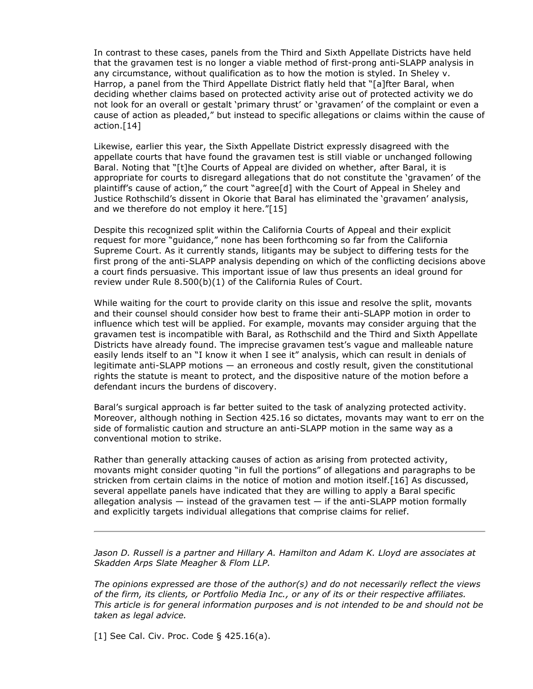In contrast to these cases, panels from the Third and Sixth Appellate Districts have held that the gravamen test is no longer a viable method of first-prong anti-SLAPP analysis in any circumstance, without qualification as to how the motion is styled. In Sheley v. Harrop, a panel from the Third Appellate District flatly held that "[a]fter Baral, when deciding whether claims based on protected activity arise out of protected activity we do not look for an overall or gestalt 'primary thrust' or 'gravamen' of the complaint or even a cause of action as pleaded," but instead to specific allegations or claims within the cause of action.[14]

 Likewise, earlier this year, the Sixth Appellate District expressly disagreed with the appellate courts that have found the gravamen test is still viable or unchanged following Baral. Noting that "[t]he Courts of Appeal are divided on whether, after Baral, it is appropriate for courts to disregard allegations that do not constitute the 'gravamen' of the plaintiff's cause of action," the court "agree[d] with the Court of Appeal in Sheley and Justice Rothschild's dissent in Okorie that Baral has eliminated the 'gravamen' analysis, and we therefore do not employ it here."[15]

 Despite this recognized split within the California Courts of Appeal and their explicit request for more "guidance," none has been forthcoming so far from the California Supreme Court. As it currently stands, litigants may be subject to differing tests for the first prong of the anti-SLAPP analysis depending on which of the conflicting decisions above a court finds persuasive. This important issue of law thus presents an ideal ground for review under Rule 8.500(b)(1) of the California Rules of Court.

 While waiting for the court to provide clarity on this issue and resolve the split, movants and their counsel should consider how best to frame their anti-SLAPP motion in order to influence which test will be applied. For example, movants may consider arguing that the gravamen test is incompatible with Baral, as Rothschild and the Third and Sixth Appellate Districts have already found. The imprecise gravamen test's vague and malleable nature easily lends itself to an "I know it when I see it" analysis, which can result in denials of legitimate anti-SLAPP motions — an erroneous and costly result, given the constitutional rights the statute is meant to protect, and the dispositive nature of the motion before a defendant incurs the burdens of discovery.

 Baral's surgical approach is far better suited to the task of analyzing protected activity. Moreover, although nothing in Section 425.16 so dictates, movants may want to err on the side of formalistic caution and structure an anti-SLAPP motion in the same way as a conventional motion to strike.

 Rather than generally attacking causes of action as arising from protected activity, movants might consider quoting "in full the portions" of allegations and paragraphs to be stricken from certain claims in the notice of motion and motion itself.[16] As discussed, several appellate panels have indicated that they are willing to apply a Baral specific allegation analysis  $-$  instead of the gravamen test  $-$  if the anti-SLAPP motion formally and explicitly targets individual allegations that comprise claims for relief.

 *Jason D. Russell is a partner and Hillary A. Hamilton and Adam K. Lloyd are associates at Skadden Arps Slate Meagher & Flom LLP.* 

 *The opinions expressed are those of the author(s) and do not necessarily reflect the views of the firm, its clients, or Portfolio Media Inc., or any of its or their respective affiliates. This article is for general information purposes and is not intended to be and should not be taken as legal advice.* 

[1] See Cal. Civ. Proc. Code § 425.16(a).